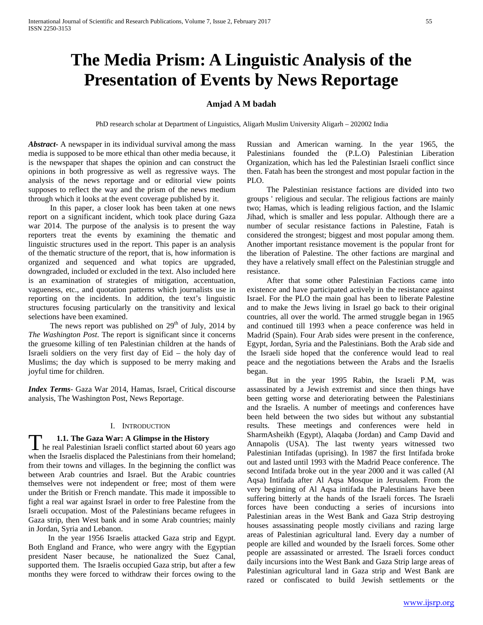# **The Media Prism: A Linguistic Analysis of the Presentation of Events by News Reportage**

# **Amjad A M badah**

PhD research scholar at Department of Linguistics, Aligarh Muslim University Aligarh – 202002 India

*Abstract***-** A newspaper in its individual survival among the mass media is supposed to be more ethical than other media because, it is the newspaper that shapes the opinion and can construct the opinions in both progressive as well as regressive ways. The analysis of the news reportage and or editorial view points supposes to reflect the way and the prism of the news medium through which it looks at the event coverage published by it.

 In this paper, a closer look has been taken at one news report on a significant incident, which took place during Gaza war 2014. The purpose of the analysis is to present the way reporters treat the events by examining the thematic and linguistic structures used in the report. This paper is an analysis of the thematic structure of the report, that is, how information is organized and sequenced and what topics are upgraded, downgraded, included or excluded in the text. Also included here is an examination of strategies of mitigation, accentuation, vagueness, etc., and quotation patterns which journalists use in reporting on the incidents. In addition, the text's linguistic structures focusing particularly on the transitivity and lexical selections have been examined.

The news report was published on  $29<sup>th</sup>$  of July, 2014 by *The Washington Post*. The report is significant since it concerns the gruesome killing of ten Palestinian children at the hands of Israeli soldiers on the very first day of Eid – the holy day of Muslims; the day which is supposed to be merry making and joyful time for children.

*Index Terms*- Gaza War 2014, Hamas, Israel, Critical discourse analysis, The Washington Post, News Reportage.

# I. INTRODUCTION

# **1.1. The Gaza War: A Glimpse in the History**

**he real Palestinian Israeli conflict started about 60 years ago**<br>the real Palestinian Israeli conflict started about 60 years ago when the Israelis displaced the Palestinians from their homeland; from their towns and villages. In the beginning the conflict was between Arab countries and Israel. But the Arabic countries themselves were not independent or free; most of them were under the British or French mandate. This made it impossible to fight a real war against Israel in order to free Palestine from the Israeli occupation. Most of the Palestinians became refugees in Gaza strip, then West bank and in some Arab countries; mainly in Jordan, Syria and Lebanon.

 In the year 1956 Israelis attacked Gaza strip and Egypt. Both England and France, who were angry with the Egyptian president Naser because, he nationalized the Suez Canal, supported them. The Israelis occupied Gaza strip, but after a few months they were forced to withdraw their forces owing to the Russian and American warning. In the year 1965, the Palestinians founded the (P.L.O) Palestinian Liberation Organization, which has led the Palestinian Israeli conflict since then. Fatah has been the strongest and most popular faction in the PLO.

 The Palestinian resistance factions are divided into two groups ' religious and secular. The religious factions are mainly two; Hamas, which is leading religious faction, and the Islamic Jihad, which is smaller and less popular. Although there are a number of secular resistance factions in Palestine, Fatah is considered the strongest; biggest and most popular among them. Another important resistance movement is the popular front for the liberation of Palestine. The other factions are marginal and they have a relatively small effect on the Palestinian struggle and resistance.

 After that some other Palestinian Factions came into existence and have participated actively in the resistance against Israel. For the PLO the main goal has been to liberate Palestine and to make the Jews living in Israel go back to their original countries, all over the world. The armed struggle began in 1965 and continued till 1993 when a peace conference was held in Madrid (Spain). Four Arab sides were present in the conference, Egypt, Jordan, Syria and the Palestinians. Both the Arab side and the Israeli side hoped that the conference would lead to real peace and the negotiations between the Arabs and the Israelis began.

 But in the year 1995 Rabin, the Israeli P.M, was assassinated by a Jewish extremist and since then things have been getting worse and deteriorating between the Palestinians and the Israelis. A number of meetings and conferences have been held between the two sides but without any substantial results. These meetings and conferences were held in SharmAsheikh (Egypt), Alaqaba (Jordan) and Camp David and Annapolis (USA). The last twenty years witnessed two Palestinian Intifadas (uprising). In 1987 the first Intifada broke out and lasted until 1993 with the Madrid Peace conference. The second Intifada broke out in the year 2000 and it was called (Al Aqsa) Intifada after Al Aqsa Mosque in Jerusalem. From the very beginning of Al Aqsa intifada the Palestinians have been suffering bitterly at the hands of the Israeli forces. The Israeli forces have been conducting a series of incursions into Palestinian areas in the West Bank and Gaza Strip destroying houses assassinating people mostly civilians and razing large areas of Palestinian agricultural land. Every day a number of people are killed and wounded by the Israeli forces. Some other people are assassinated or arrested. The Israeli forces conduct daily incursions into the West Bank and Gaza Strip large areas of Palestinian agricultural land in Gaza strip and West Bank are razed or confiscated to build Jewish settlements or the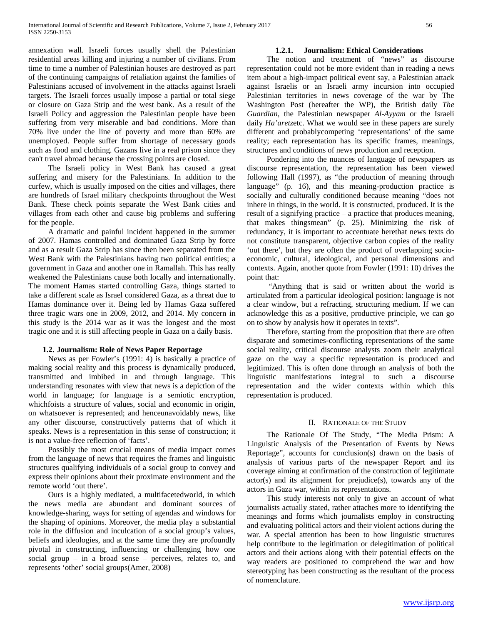annexation wall. Israeli forces usually shell the Palestinian residential areas killing and injuring a number of civilians. From time to time a number of Palestinian houses are destroyed as part of the continuing campaigns of retaliation against the families of Palestinians accused of involvement in the attacks against Israeli targets. The Israeli forces usually impose a partial or total siege or closure on Gaza Strip and the west bank. As a result of the Israeli Policy and aggression the Palestinian people have been suffering from very miserable and bad conditions. More than 70% live under the line of poverty and more than 60% are unemployed. People suffer from shortage of necessary goods such as food and clothing. Gazans live in a real prison since they can't travel abroad because the crossing points are closed.

 The Israeli policy in West Bank has caused a great suffering and misery for the Palestinians. In addition to the curfew, which is usually imposed on the cities and villages, there are hundreds of Israel military checkpoints throughout the West Bank. These check points separate the West Bank cities and villages from each other and cause big problems and suffering for the people.

 A dramatic and painful incident happened in the summer of 2007. Hamas controlled and dominated Gaza Strip by force and as a result Gaza Strip has since then been separated from the West Bank with the Palestinians having two political entities; a government in Gaza and another one in Ramallah. This has really weakened the Palestinians cause both locally and internationally. The moment Hamas started controlling Gaza, things started to take a different scale as Israel considered Gaza, as a threat due to Hamas dominance over it. Being led by Hamas Gaza suffered three tragic wars one in 2009, 2012, and 2014. My concern in this study is the 2014 war as it was the longest and the most tragic one and it is still affecting people in Gaza on a daily basis.

#### **1.2. Journalism: Role of News Paper Reportage**

 News as per Fowler's (1991: 4) is basically a practice of making social reality and this process is dynamically produced, transmitted and imbibed in and through language. This understanding resonates with view that news is a depiction of the world in language; for language is a semiotic encryption, whichfoists a structure of values, social and economic in origin, on whatsoever is represented; and henceunavoidably news, like any other discourse, constructively patterns that of which it speaks. News is a representation in this sense of construction; it is not a value-free reflection of 'facts'.

 Possibly the most crucial means of media impact comes from the language of news that requires the frames and linguistic structures qualifying individuals of a social group to convey and express their opinions about their proximate environment and the remote world 'out there'.

 Ours is a highly mediated, a multifacetedworld, in which the news media are abundant and dominant sources of knowledge-sharing, ways for setting of agendas and windows for the shaping of opinions. Moreover, the media play a substantial role in the diffusion and inculcation of a social group's values, beliefs and ideologies, and at the same time they are profoundly pivotal in constructing, influencing or challenging how one social group – in a broad sense – perceives, relates to, and represents 'other' social groups(Amer, 2008)

## **1.2.1. Journalism: Ethical Considerations**

 The notion and treatment of "news" as discourse representation could not be more evident than in reading a news item about a high-impact political event say, a Palestinian attack against Israelis or an Israeli army incursion into occupied Palestinian territories in news coverage of the war by The Washington Post (hereafter the WP), the British daily *The Guardian*, the Palestinian newspaper *Al-Ayyam* or the Israeli daily *Ha'aretz*etc. What we would see in these papers are surely different and probablycompeting 'representations' of the same reality; each representation has its specific frames, meanings, structures and conditions of news production and reception.

 Pondering into the nuances of language of newspapers as discourse representation, the representation has been viewed following Hall (1997), as "the production of meaning through language" (p. 16), and this meaning-production practice is socially and culturally conditioned because meaning "does not inhere in things, in the world. It is constructed, produced. It is the result of a signifying practice – a practice that produces meaning, that makes thingsmean" (p. 25). Minimizing the risk of redundancy, it is important to accentuate herethat news texts do not constitute transparent, objective carbon copies of the reality 'out there', but they are often the product of overlapping socioeconomic, cultural, ideological, and personal dimensions and contexts. Again, another quote from Fowler (1991: 10) drives the point that:

 "Anything that is said or written about the world is articulated from a particular ideological position: language is not a clear window, but a refracting, structuring medium. If we can acknowledge this as a positive, productive principle, we can go on to show by analysis how it operates in texts".

 Therefore, starting from the proposition that there are often disparate and sometimes-conflicting representations of the same social reality, critical discourse analysts zoom their analytical gaze on the way a specific representation is produced and legitimized. This is often done through an analysis of both the linguistic manifestations integral to such a discourse representation and the wider contexts within which this representation is produced.

#### II. RATIONALE OF THE STUDY

 The Rationale Of The Study, "The Media Prism: A Linguistic Analysis of the Presentation of Events by News Reportage", accounts for conclusion(s) drawn on the basis of analysis of various parts of the newspaper Report and its coverage aiming at confirmation of the construction of legitimate actor(s) and its alignment for prejudice(s), towards any of the actors in Gaza war, within its representations.

 This study interests not only to give an account of what journalists actually stated, rather attaches more to identifying the meanings and forms which journalists employ in constructing and evaluating political actors and their violent actions during the war. A special attention has been to how linguistic structures help contribute to the legitimation or delegitimation of political actors and their actions along with their potential effects on the way readers are positioned to comprehend the war and how stereotyping has been constructing as the resultant of the process of nomenclature.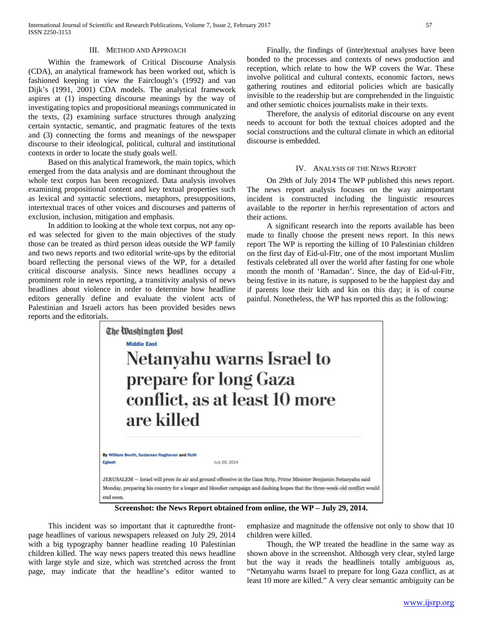#### III. METHOD AND APPROACH

 Within the framework of Critical Discourse Analysis (CDA), an analytical framework has been worked out, which is fashioned keeping in view the Fairclough's (1992) and van Dijk's (1991, 2001) CDA models. The analytical framework aspires at (1) inspecting discourse meanings by the way of investigating topics and propositional meanings communicated in the texts, (2) examining surface structures through analyzing certain syntactic, semantic, and pragmatic features of the texts and (3) connecting the forms and meanings of the newspaper discourse to their ideological, political, cultural and institutional contexts in order to locate the study goals well.

 Based on this analytical framework, the main topics, which emerged from the data analysis and are dominant throughout the whole text corpus has been recognized. Data analysis involves examining propositional content and key textual properties such as lexical and syntactic selections, metaphors, presuppositions, intertextual traces of other voices and discourses and patterns of exclusion, inclusion, mitigation and emphasis.

 In addition to looking at the whole text corpus, not any oped was selected for given to the main objectives of the study those can be treated as third person ideas outside the WP family and two news reports and two editorial write-ups by the editorial board reflecting the personal views of the WP, for a detailed critical discourse analysis. Since news headlines occupy a prominent role in news reporting, a transitivity analysis of news headlines about violence in order to determine how headline editors generally define and evaluate the violent acts of Palestinian and Israeli actors has been provided besides news reports and the editorials.

 Finally, the findings of (inter)textual analyses have been bonded to the processes and contexts of news production and reception, which relate to how the WP covers the War. These involve political and cultural contexts, economic factors, news gathering routines and editorial policies which are basically invisible to the readership but are comprehended in the linguistic and other semiotic choices journalists make in their texts.

 Therefore, the analysis of editorial discourse on any event needs to account for both the textual choices adopted and the social constructions and the cultural climate in which an editorial discourse is embedded.

#### IV. ANALYSIS OF THE NEWS REPORT

 On 29th of July 2014 The WP published this news report. The news report analysis focuses on the way animportant incident is constructed including the linguistic resources available to the reporter in her/his representation of actors and their actions.

 A significant research into the reports available has been made to finally choose the present news report. In this news report The WP is reporting the killing of 10 Palestinian children on the first day of Eid-ul-Fitr, one of the most important Muslim festivals celebrated all over the world after fasting for one whole month the month of 'Ramadan'. Since, the day of Eid-ul-Fitr, being festive in its nature, is supposed to be the happiest day and if parents lose their kith and kin on this day; it is of course painful. Nonetheless, the WP has reported this as the following:



**Screenshot: the News Report obtained from online, the WP – July 29, 2014.**

 This incident was so important that it capturedthe frontpage headlines of various newspapers released on July 29, 2014 with a big typography banner headline reading 10 Palestinian children killed. The way news papers treated this news headline with large style and size, which was stretched across the front page, may indicate that the headline's editor wanted to

emphasize and magnitude the offensive not only to show that 10 children were killed.

 Though, the WP treated the headline in the same way as shown above in the screenshot. Although very clear, styled large but the way it reads the headlineis totally ambiguous as, "Netanyahu warns Israel to prepare for long Gaza conflict, as at least 10 more are killed." A very clear semantic ambiguity can be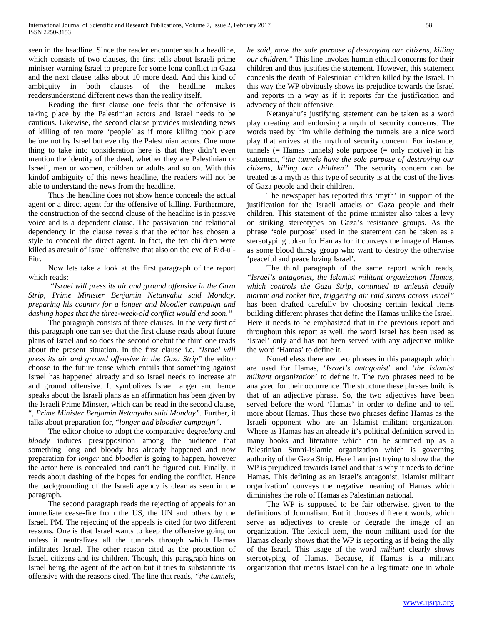seen in the headline. Since the reader encounter such a headline, which consists of two clauses, the first tells about Israeli prime minister warning Israel to prepare for some long conflict in Gaza and the next clause talks about 10 more dead. And this kind of ambiguity in both clauses of the headline makes readersunderstand different news than the reality itself.

 Reading the first clause one feels that the offensive is taking place by the Palestinian actors and Israel needs to be cautious. Likewise, the second clause provides misleading news of killing of ten more 'people' as if more killing took place before not by Israel but even by the Palestinian actors. One more thing to take into consideration here is that they didn't even mention the identity of the dead, whether they are Palestinian or Israeli, men or women, children or adults and so on. With this kindof ambiguity of this news headline, the readers will not be able to understand the news from the headline.

 Thus the headline does not show hence conceals the actual agent or a direct agent for the offensive of killing. Furthermore, the construction of the second clause of the headline is in passive voice and is a dependent clause. The passivation and relational dependency in the clause reveals that the editor has chosen a style to conceal the direct agent. In fact, the ten children were killed as aresult of Israeli offensive that also on the eve of Eid-ul-Fitr.

 Now lets take a look at the first paragraph of the report which reads:

 *"Israel will press its air and ground offensive in the Gaza Strip, Prime Minister Benjamin Netanyahu said Monday, preparing his country for a longer and bloodier campaign and dashing hopes that the three-week-old conflict would end soon."*

 The paragraph consists of three clauses. In the very first of this paragraph one can see that the first clause reads about future plans of Israel and so does the second onebut the third one reads about the present situation. In the first clause i.e. "*Israel will press its air and ground offensive in the Gaza Strip*" the editor choose to the future tense which entails that something against Israel has happened already and so Israel needs to increase air and ground offensive. It symbolizes Israeli anger and hence speaks about the Israeli plans as an affirmation has been given by the Israeli Prime Minster, which can be read in the second clause, "*, Prime Minister Benjamin Netanyahu said Monday".* Further, it talks about preparation for, "*longer and bloodier campaign".* 

 The editor choice to adopt the comparative degree*long* and *bloody* induces presupposition among the audience that something long and bloody has already happened and now preparation for *longer* and *bloodier* is going to happen, however the actor here is concealed and can't be figured out. Finally, it reads about dashing of the hopes for ending the conflict. Hence the backgrounding of the Israeli agency is clear as seen in the paragraph.

 The second paragraph reads the rejecting of appeals for an immediate cease-fire from the US, the UN and others by the Israeli PM. The rejecting of the appeals is cited for two different reasons. One is that Israel wants to keep the offensive going on unless it neutralizes all the tunnels through which Hamas infiltrates Israel. The other reason cited as the protection of Israeli citizens and its children. Though, this paragraph hints on Israel being the agent of the action but it tries to substantiate its offensive with the reasons cited. The line that reads, *"the tunnels,* 

*he said, have the sole purpose of destroying our citizens, killing our children."* This line invokes human ethical concerns for their children and thus justifies the statement. However, this statement conceals the death of Palestinian children killed by the Israel. In this way the WP obviously shows its prejudice towards the Israel and reports in a way as if it reports for the justification and advocacy of their offensive.

 Netanyahu's justifying statement can be taken as a word play creating and endorsing a myth of security concerns. The words used by him while defining the tunnels are a nice word play that arrives at the myth of security concern. For instance, tunnels (= Hamas tunnels) sole purpose (= only motive) in his statement, "*the tunnels have the sole purpose of destroying our citizens, killing our children".* The security concern can be treated as a myth as this type of security is at the cost of the lives of Gaza people and their children.

 The newspaper has reported this 'myth' in support of the justification for the Israeli attacks on Gaza people and their children. This statement of the prime minister also takes a levy on striking stereotypes on Gaza's resistance groups. As the phrase 'sole purpose' used in the statement can be taken as a stereotyping token for Hamas for it conveys the image of Hamas as some blood thirsty group who want to destroy the otherwise 'peaceful and peace loving Israel'.

 The third paragraph of the same report which reads, *"Israel's antagonist, the Islamist militant organization Hamas, which controls the Gaza Strip, continued to unleash deadly mortar and rocket fire, triggering air raid sirens across Israel"*  has been drafted carefully by choosing certain lexical items building different phrases that define the Hamas unlike the Israel. Here it needs to be emphasized that in the previous report and throughout this report as well, the word Israel has been used as 'Israel' only and has not been served with any adjective unlike the word 'Hamas' to define it.

 Nonetheless there are two phrases in this paragraph which are used for Hamas, '*Israel's antagonist*' and '*the Islamist militant organization*' to define it. The two phrases need to be analyzed for their occurrence. The structure these phrases build is that of an adjective phrase. So, the two adjectives have been served before the word 'Hamas' in order to define and to tell more about Hamas. Thus these two phrases define Hamas as the Israeli opponent who are an Islamist militant organization. Where as Hamas has an already it's political definition served in many books and literature which can be summed up as a Palestinian Sunni-Islamic organization which is governing authority of the Gaza Strip. Here I am just trying to show that the WP is prejudiced towards Israel and that is why it needs to define Hamas. This defining as an Israel's antagonist, Islamist militant organization' conveys the negative meaning of Hamas which diminishes the role of Hamas as Palestinian national.

 The WP is supposed to be fair otherwise, given to the definitions of Journalism. But it chooses different words, which serve as adjectives to create or degrade the image of an organization. The lexical item, the noun militant used for the Hamas clearly shows that the WP is reporting as if being the ally of the Israel. This usage of the word *militant* clearly shows stereotyping of Hamas. Because, if Hamas is a militant organization that means Israel can be a legitimate one in whole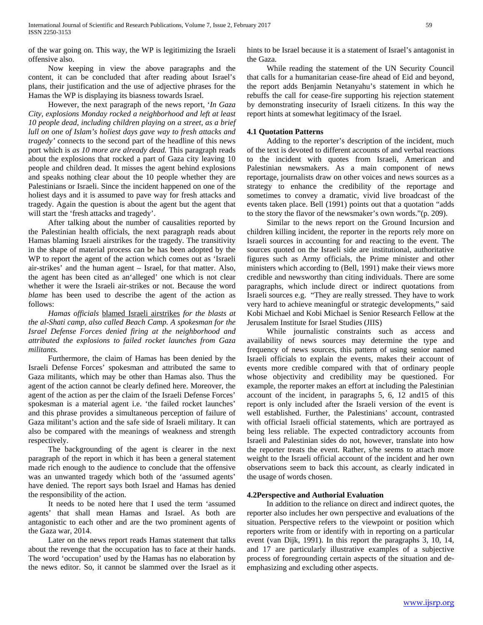of the war going on. This way, the WP is legitimizing the Israeli offensive also.

 Now keeping in view the above paragraphs and the content, it can be concluded that after reading about Israel's plans, their justification and the use of adjective phrases for the Hamas the WP is displaying its biasness towards Israel.

 However, the next paragraph of the news report, '*In Gaza City, explosions Monday rocked a neighborhood and left at least 10 people dead, including children playing on a street, as a brief lull on one of Islam's holiest days gave way to fresh attacks and tragedy'* connects to the second part of the headline of this news port which is *as 10 more are already dead.* This paragraph reads about the explosions that rocked a part of Gaza city leaving 10 people and children dead. It misses the agent behind explosions and speaks nothing clear about the 10 people whether they are Palestinians or Israeli. Since the incident happened on one of the holiest days and it is assumed to pave way for fresh attacks and tragedy. Again the question is about the agent but the agent that will start the 'fresh attacks and tragedy'.

 After talking about the number of causalities reported by the Palestinian health officials, the next paragraph reads about Hamas blaming Israeli airstrikes for the tragedy. The transitivity in the shape of material process can be has been adopted by the WP to report the agent of the action which comes out as 'Israeli air-strikes' and the human agent – Israel, for that matter. Also, the agent has been cited as an'alleged' one which is not clear whether it were the Israeli air-strikes or not. Because the word *blame* has been used to describe the agent of the action as follows:

 *Hamas officials* blamed Israeli airstrikes *for the blasts at the al-Shati camp, also called Beach Camp. A spokesman for the Israel Defense Forces denied firing at the neighborhood and attributed the explosions to failed rocket launches from Gaza militants.* 

 Furthermore, the claim of Hamas has been denied by the Israeli Defense Forces' spokesman and attributed the same to Gaza militants, which may be other than Hamas also. Thus the agent of the action cannot be clearly defined here. Moreover, the agent of the action as per the claim of the Israeli Defense Forces' spokesman is a material agent i.e. 'the failed rocket launches' and this phrase provides a simultaneous perception of failure of Gaza militant's action and the safe side of Israeli military. It can also be compared with the meanings of weakness and strength respectively.

 The backgrounding of the agent is clearer in the next paragraph of the report in which it has been a general statement made rich enough to the audience to conclude that the offensive was an unwanted tragedy which both of the 'assumed agents' have denied. The report says both Israel and Hamas has denied the responsibility of the action.

 It needs to be noted here that I used the term 'assumed agents' that shall mean Hamas and Israel. As both are antagonistic to each other and are the two prominent agents of the Gaza war, 2014.

 Later on the news report reads Hamas statement that talks about the revenge that the occupation has to face at their hands. The word 'occupation' used by the Hamas has no elaboration by the news editor. So, it cannot be slammed over the Israel as it hints to be Israel because it is a statement of Israel's antagonist in the Gaza.

 While reading the statement of the UN Security Council that calls for a humanitarian cease-fire ahead of Eid and beyond, the report adds Benjamin Netanyahu's statement in which he rebuffs the call for cease-fire supporting his rejection statement by demonstrating insecurity of Israeli citizens. In this way the report hints at somewhat legitimacy of the Israel.

# **4.1 Quotation Patterns**

 Adding to the reporter's description of the incident, much of the text is devoted to different accounts of and verbal reactions to the incident with quotes from Israeli, American and Palestinian newsmakers. As a main component of news reportage, journalists draw on other voices and news sources as a strategy to enhance the credibility of the reportage and sometimes to convey a dramatic, vivid live broadcast of the events taken place. Bell (1991) points out that a quotation "adds to the story the flavor of the newsmaker's own words."(p. 209).

 Similar to the news report on the Ground Incursion and children killing incident, the reporter in the reports rely more on Israeli sources in accounting for and reacting to the event. The sources quoted on the Israeli side are institutional, authoritative figures such as Army officials, the Prime minister and other ministers which according to (Bell, 1991) make their views more credible and newsworthy than citing individuals. There are some paragraphs, which include direct or indirect quotations from Israeli sources e.g. "They are really stressed. They have to work very hard to achieve meaningful or strategic developments," said Kobi Michael and Kobi Michael is Senior Research Fellow at the Jerusalem Institute for Israel Studies (JIIS)

 While journalistic constraints such as access and availability of news sources may determine the type and frequency of news sources, this pattern of using senior named Israeli officials to explain the events, makes their account of events more credible compared with that of ordinary people whose objectivity and credibility may be questioned. For example, the reporter makes an effort at including the Palestinian account of the incident, in paragraphs 5, 6, 12 and15 of this report is only included after the Israeli version of the event is well established. Further, the Palestinians' account, contrasted with official Israeli official statements, which are portrayed as being less reliable. The expected contradictory accounts from Israeli and Palestinian sides do not, however, translate into how the reporter treats the event. Rather, s/he seems to attach more weight to the Israeli official account of the incident and her own observations seem to back this account, as clearly indicated in the usage of words chosen.

#### **4.2Perspective and Authorial Evaluation**

 In addition to the reliance on direct and indirect quotes, the reporter also includes her own perspective and evaluations of the situation. Perspective refers to the viewpoint or position which reporters write from or identify with in reporting on a particular event (van Dijk, 1991). In this report the paragraphs 3, 10, 14, and 17 are particularly illustrative examples of a subjective process of foregrounding certain aspects of the situation and deemphasizing and excluding other aspects.